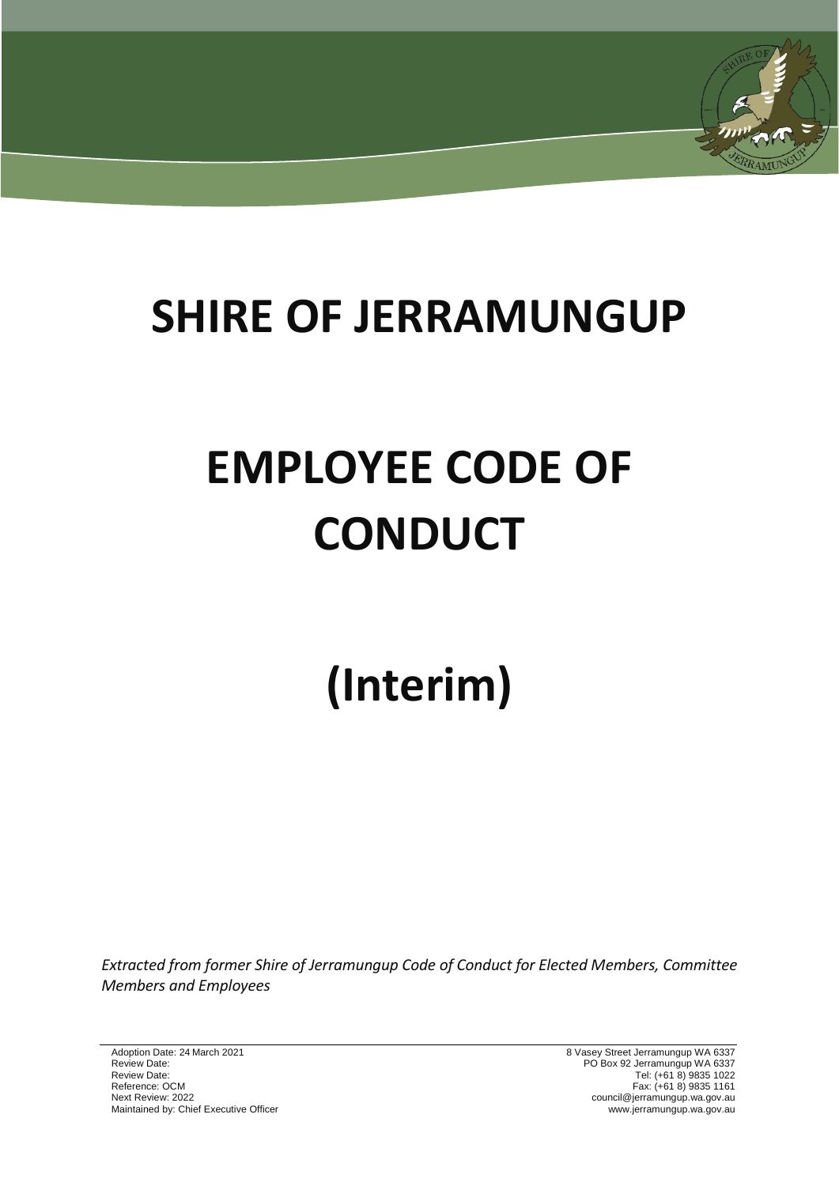# **SHIRE OF JERRAMUNGUP**

# **EMPLOYEE CODE OF CONDUCT**

# **(Interim)**

*Extracted from former Shire of Jerramungup Code of Conduct for Elected Members, Committee Members and Employees*

Adoption Date: 24 March 2021 8 Vasey Street Jerramungup WA 6337 Review Date: PO Box 92 Jerramungup WA 6337 Review Date: Tel: (+61 8) 9835 1022 Reference: OCM Fax: (+61 8) 9835 1161 Next Review: 2022 council@jerramungup.wa.gov.au Maintained by: Chief Executive Officer www.jerramungup.wa.gov.au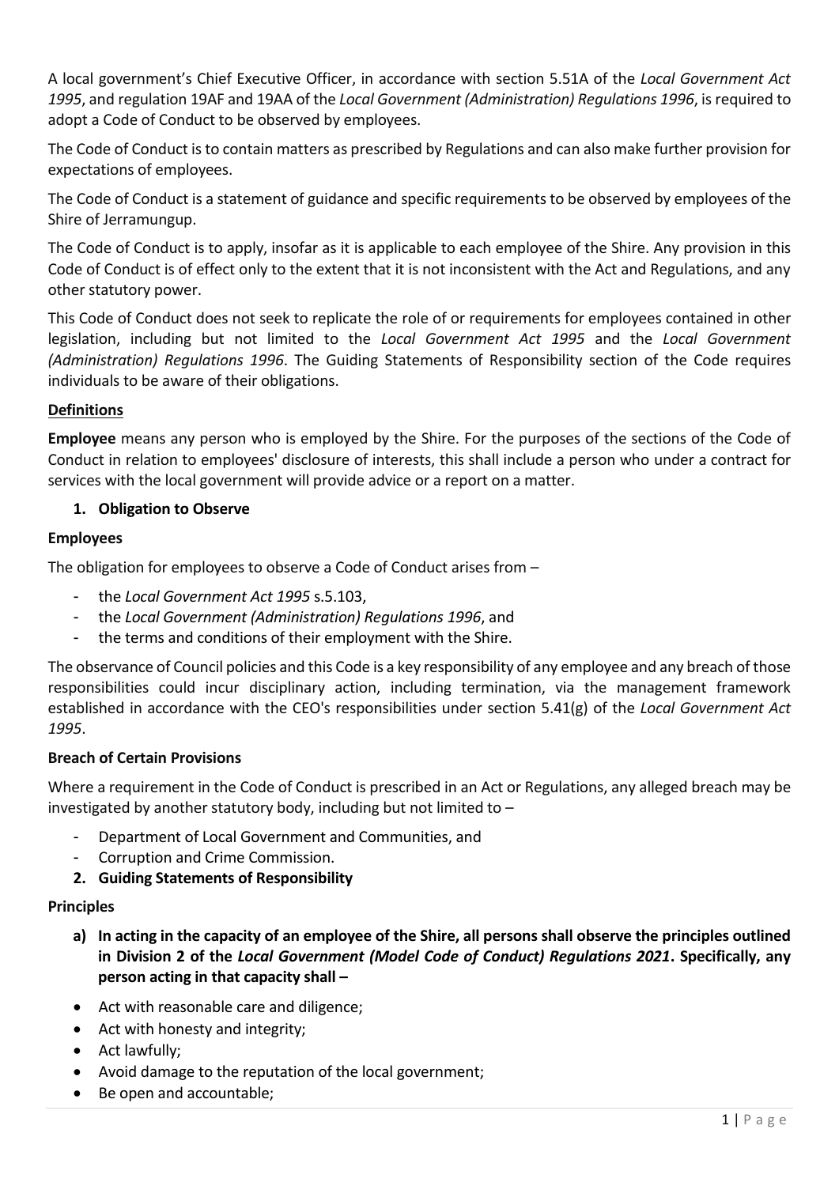A local government's Chief Executive Officer, in accordance with section 5.51A of the *Local Government Act 1995*, and regulation 19AF and 19AA of the *Local Government (Administration) Regulations 1996*, is required to adopt a Code of Conduct to be observed by employees.

The Code of Conduct is to contain matters as prescribed by Regulations and can also make further provision for expectations of employees.

The Code of Conduct is a statement of guidance and specific requirements to be observed by employees of the Shire of Jerramungup.

The Code of Conduct is to apply, insofar as it is applicable to each employee of the Shire. Any provision in this Code of Conduct is of effect only to the extent that it is not inconsistent with the Act and Regulations, and any other statutory power.

This Code of Conduct does not seek to replicate the role of or requirements for employees contained in other legislation, including but not limited to the *Local Government Act 1995* and the *Local Government (Administration) Regulations 1996*. The Guiding Statements of Responsibility section of the Code requires individuals to be aware of their obligations.

## **Definitions**

**Employee** means any person who is employed by the Shire. For the purposes of the sections of the Code of Conduct in relation to employees' disclosure of interests, this shall include a person who under a contract for services with the local government will provide advice or a report on a matter.

#### **1. Obligation to Observe**

#### **Employees**

The obligation for employees to observe a Code of Conduct arises from –

- the *Local Government Act 1995* s.5.103,
- the *Local Government (Administration) Regulations 1996*, and
- the terms and conditions of their employment with the Shire.

The observance of Council policies and this Code is a key responsibility of any employee and any breach of those responsibilities could incur disciplinary action, including termination, via the management framework established in accordance with the CEO's responsibilities under section 5.41(g) of the *Local Government Act 1995*.

#### **Breach of Certain Provisions**

Where a requirement in the Code of Conduct is prescribed in an Act or Regulations, any alleged breach may be investigated by another statutory body, including but not limited to –

- Department of Local Government and Communities, and
- Corruption and Crime Commission.
- **2. Guiding Statements of Responsibility**

#### **Principles**

- **a) In acting in the capacity of an employee of the Shire, all persons shall observe the principles outlined in Division 2 of the** *Local Government (Model Code of Conduct) Regulations 2021***. Specifically, any person acting in that capacity shall –**
- Act with reasonable care and diligence;
- Act with honesty and integrity;
- Act lawfully;
- Avoid damage to the reputation of the local government;
- Be open and accountable;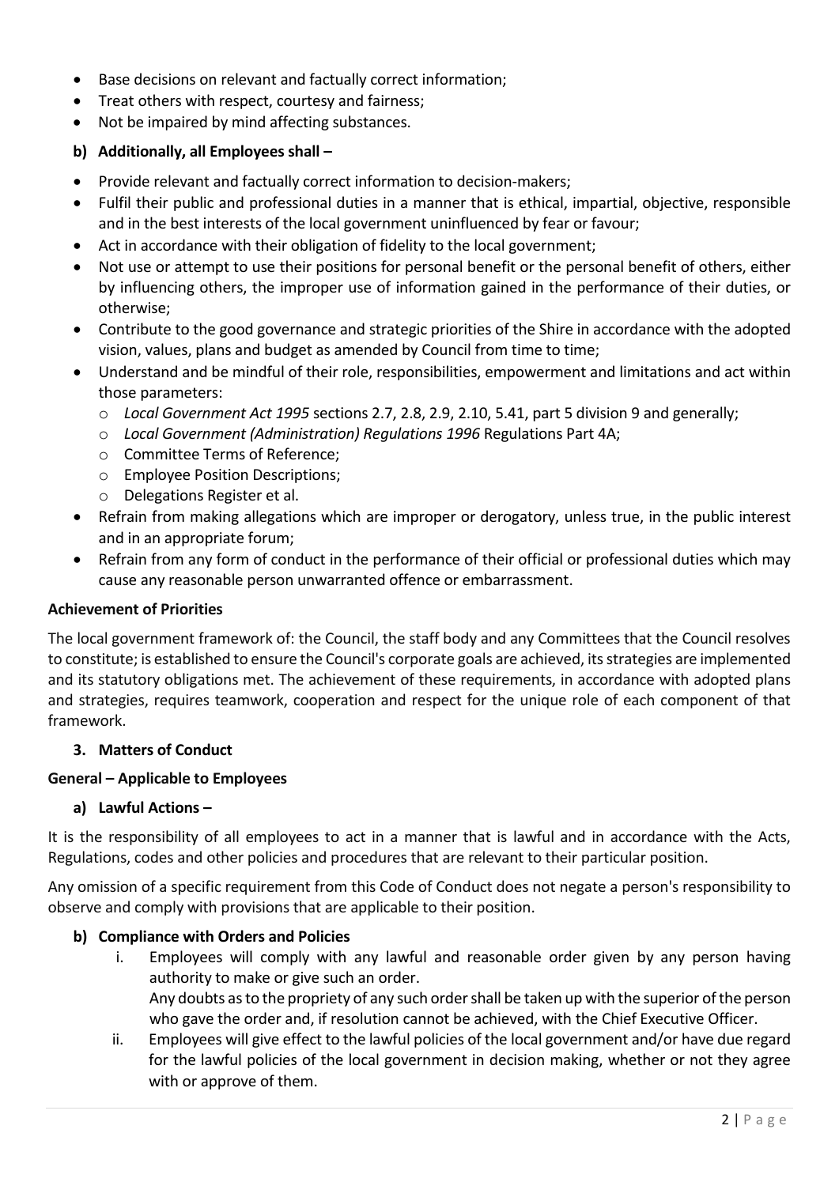- Base decisions on relevant and factually correct information;
- Treat others with respect, courtesy and fairness;
- Not be impaired by mind affecting substances.

#### **b) Additionally, all Employees shall –**

- Provide relevant and factually correct information to decision-makers;
- Fulfil their public and professional duties in a manner that is ethical, impartial, objective, responsible and in the best interests of the local government uninfluenced by fear or favour;
- Act in accordance with their obligation of fidelity to the local government;
- Not use or attempt to use their positions for personal benefit or the personal benefit of others, either by influencing others, the improper use of information gained in the performance of their duties, or otherwise;
- Contribute to the good governance and strategic priorities of the Shire in accordance with the adopted vision, values, plans and budget as amended by Council from time to time;
- Understand and be mindful of their role, responsibilities, empowerment and limitations and act within those parameters:
	- o *Local Government Act 1995* sections 2.7, 2.8, 2.9, 2.10, 5.41, part 5 division 9 and generally;
	- o *Local Government (Administration) Regulations 1996* Regulations Part 4A;
	- o Committee Terms of Reference;
	- o Employee Position Descriptions;
	- o Delegations Register et al.
- Refrain from making allegations which are improper or derogatory, unless true, in the public interest and in an appropriate forum;
- Refrain from any form of conduct in the performance of their official or professional duties which may cause any reasonable person unwarranted offence or embarrassment.

#### **Achievement of Priorities**

The local government framework of: the Council, the staff body and any Committees that the Council resolves to constitute; is established to ensure the Council's corporate goals are achieved, its strategies are implemented and its statutory obligations met. The achievement of these requirements, in accordance with adopted plans and strategies, requires teamwork, cooperation and respect for the unique role of each component of that framework.

#### **3. Matters of Conduct**

#### **General – Applicable to Employees**

#### **a) Lawful Actions –**

It is the responsibility of all employees to act in a manner that is lawful and in accordance with the Acts, Regulations, codes and other policies and procedures that are relevant to their particular position.

Any omission of a specific requirement from this Code of Conduct does not negate a person's responsibility to observe and comply with provisions that are applicable to their position.

#### **b) Compliance with Orders and Policies**

i. Employees will comply with any lawful and reasonable order given by any person having authority to make or give such an order. Any doubts as to the propriety of any such order shall be taken up with the superior of the person

who gave the order and, if resolution cannot be achieved, with the Chief Executive Officer.

ii. Employees will give effect to the lawful policies of the local government and/or have due regard for the lawful policies of the local government in decision making, whether or not they agree with or approve of them.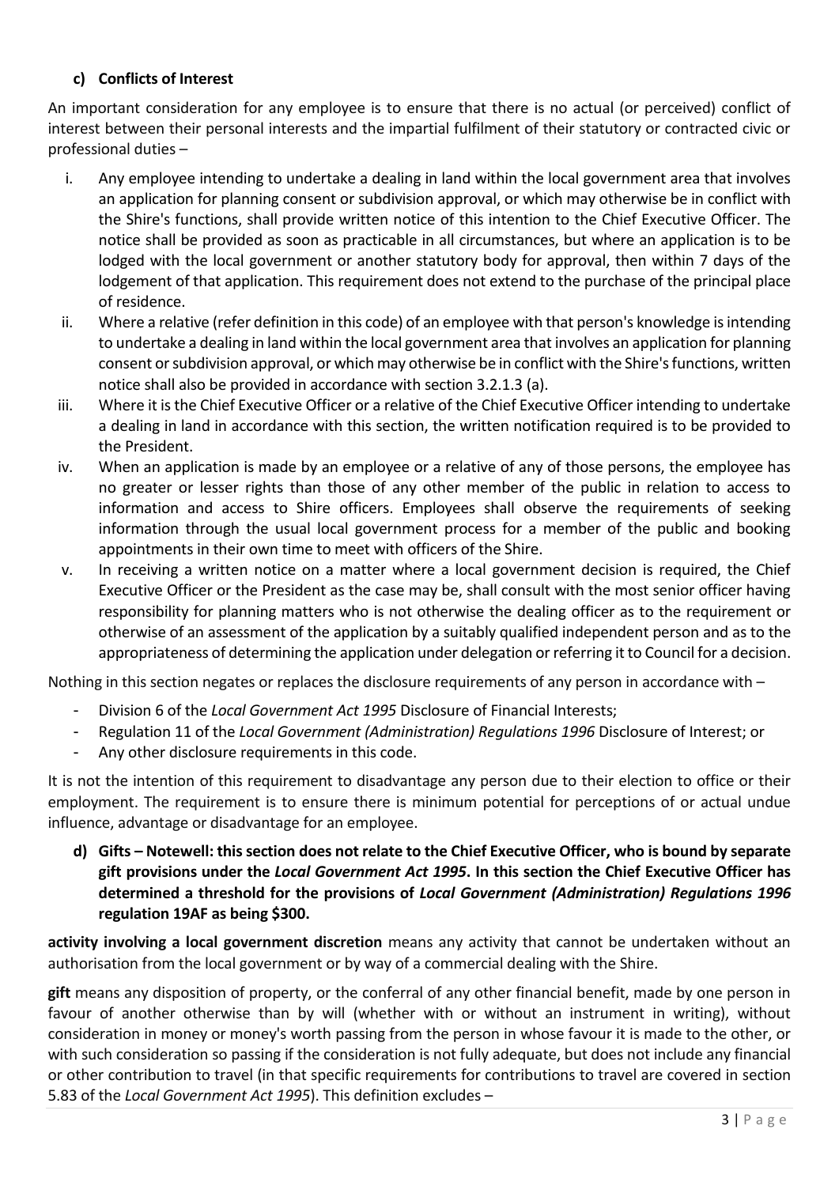# **c) Conflicts of Interest**

An important consideration for any employee is to ensure that there is no actual (or perceived) conflict of interest between their personal interests and the impartial fulfilment of their statutory or contracted civic or professional duties –

- i. Any employee intending to undertake a dealing in land within the local government area that involves an application for planning consent or subdivision approval, or which may otherwise be in conflict with the Shire's functions, shall provide written notice of this intention to the Chief Executive Officer. The notice shall be provided as soon as practicable in all circumstances, but where an application is to be lodged with the local government or another statutory body for approval, then within 7 days of the lodgement of that application. This requirement does not extend to the purchase of the principal place of residence.
- ii. Where a relative (refer definition in this code) of an employee with that person's knowledge is intending to undertake a dealing in land within the local government area that involves an application for planning consent or subdivision approval, or which may otherwise be in conflict with the Shire's functions, written notice shall also be provided in accordance with section 3.2.1.3 (a).
- iii. Where it is the Chief Executive Officer or a relative of the Chief Executive Officer intending to undertake a dealing in land in accordance with this section, the written notification required is to be provided to the President.
- iv. When an application is made by an employee or a relative of any of those persons, the employee has no greater or lesser rights than those of any other member of the public in relation to access to information and access to Shire officers. Employees shall observe the requirements of seeking information through the usual local government process for a member of the public and booking appointments in their own time to meet with officers of the Shire.
- v. In receiving a written notice on a matter where a local government decision is required, the Chief Executive Officer or the President as the case may be, shall consult with the most senior officer having responsibility for planning matters who is not otherwise the dealing officer as to the requirement or otherwise of an assessment of the application by a suitably qualified independent person and as to the appropriateness of determining the application under delegation or referring it to Council for a decision.

Nothing in this section negates or replaces the disclosure requirements of any person in accordance with –

- Division 6 of the *Local Government Act 1995* Disclosure of Financial Interests;
- Regulation 11 of the *Local Government (Administration) Regulations 1996* Disclosure of Interest; or
- Any other disclosure requirements in this code.

It is not the intention of this requirement to disadvantage any person due to their election to office or their employment. The requirement is to ensure there is minimum potential for perceptions of or actual undue influence, advantage or disadvantage for an employee.

**d) Gifts – Notewell: this section does not relate to the Chief Executive Officer, who is bound by separate gift provisions under the** *Local Government Act 1995***. In this section the Chief Executive Officer has determined a threshold for the provisions of** *Local Government (Administration) Regulations 1996* **regulation 19AF as being \$300.**

**activity involving a local government discretion** means any activity that cannot be undertaken without an authorisation from the local government or by way of a commercial dealing with the Shire.

**gift** means any disposition of property, or the conferral of any other financial benefit, made by one person in favour of another otherwise than by will (whether with or without an instrument in writing), without consideration in money or money's worth passing from the person in whose favour it is made to the other, or with such consideration so passing if the consideration is not fully adequate, but does not include any financial or other contribution to travel (in that specific requirements for contributions to travel are covered in section 5.83 of the *Local Government Act 1995*). This definition excludes –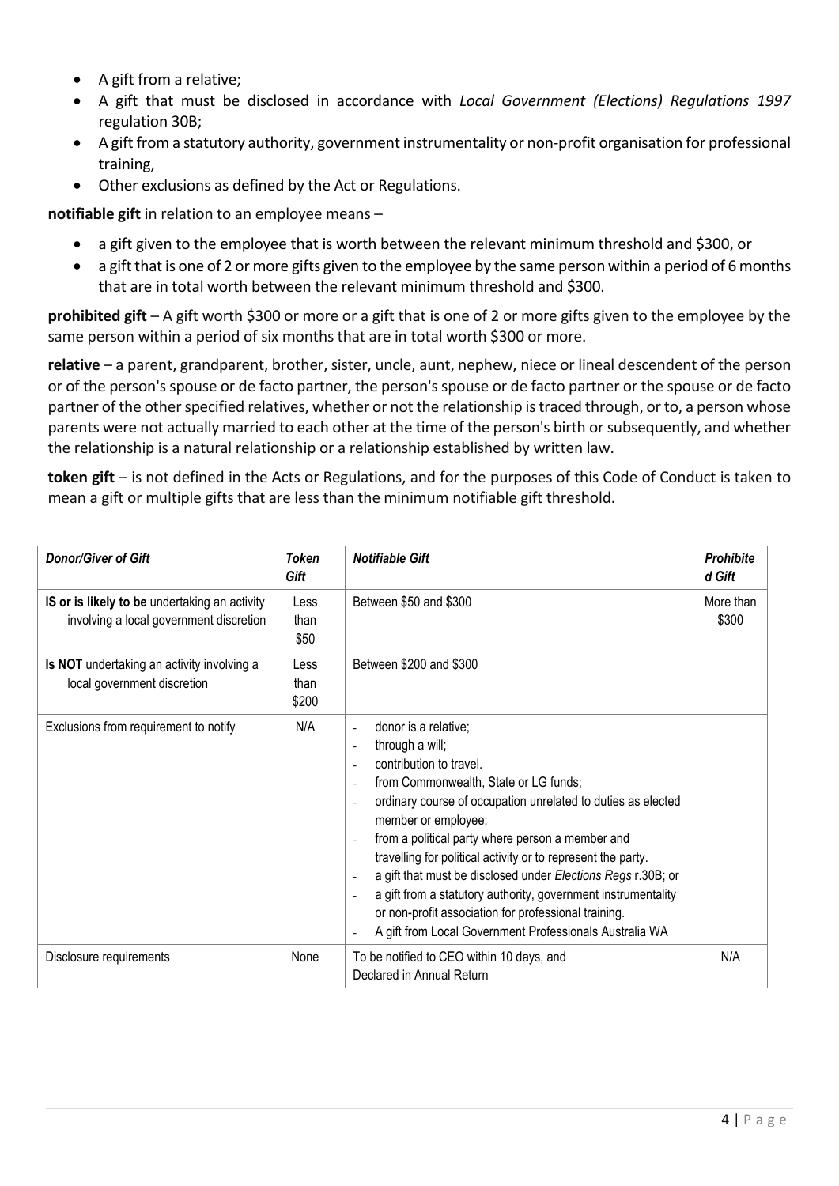- A gift from a relative;
- A gift that must be disclosed in accordance with *Local Government (Elections) Regulations 1997* regulation 30B;
- A gift from a statutory authority, government instrumentality or non‐profit organisation for professional training,
- Other exclusions as defined by the Act or Regulations.

**notifiable gift** in relation to an employee means –

- a gift given to the employee that is worth between the relevant minimum threshold and \$300, or
- a gift that is one of 2 or more gifts given to the employee by the same person within a period of 6 months that are in total worth between the relevant minimum threshold and \$300.

**prohibited gift** – A gift worth \$300 or more or a gift that is one of 2 or more gifts given to the employee by the same person within a period of six months that are in total worth \$300 or more.

**relative** – a parent, grandparent, brother, sister, uncle, aunt, nephew, niece or lineal descendent of the person or of the person's spouse or de facto partner, the person's spouse or de facto partner or the spouse or de facto partner of the other specified relatives, whether or not the relationship is traced through, or to, a person whose parents were not actually married to each other at the time of the person's birth or subsequently, and whether the relationship is a natural relationship or a relationship established by written law.

**token gift** – is not defined in the Acts or Regulations, and for the purposes of this Code of Conduct is taken to mean a gift or multiple gifts that are less than the minimum notifiable gift threshold.

| <b>Donor/Giver of Gift</b>                                                               | <b>Token</b><br>Gift  | <b>Notifiable Gift</b>                                                                                                                                                                                                                                                                                                                                                                                                                                                                                                                                                                                                                                                                               | <b>Prohibite</b><br>d Gift |
|------------------------------------------------------------------------------------------|-----------------------|------------------------------------------------------------------------------------------------------------------------------------------------------------------------------------------------------------------------------------------------------------------------------------------------------------------------------------------------------------------------------------------------------------------------------------------------------------------------------------------------------------------------------------------------------------------------------------------------------------------------------------------------------------------------------------------------------|----------------------------|
| IS or is likely to be undertaking an activity<br>involving a local government discretion | Less<br>than<br>\$50  | Between \$50 and \$300                                                                                                                                                                                                                                                                                                                                                                                                                                                                                                                                                                                                                                                                               | More than<br>\$300         |
| Is NOT undertaking an activity involving a<br>local government discretion                | Less<br>than<br>\$200 | Between \$200 and \$300                                                                                                                                                                                                                                                                                                                                                                                                                                                                                                                                                                                                                                                                              |                            |
| Exclusions from requirement to notify                                                    | N/A                   | donor is a relative;<br>L,<br>through a will;<br>÷,<br>contribution to travel.<br>from Commonwealth, State or LG funds;<br>$\overline{\phantom{a}}$<br>ordinary course of occupation unrelated to duties as elected<br>$\overline{\phantom{a}}$<br>member or employee;<br>from a political party where person a member and<br>$\overline{a}$<br>travelling for political activity or to represent the party.<br>a gift that must be disclosed under Elections Regs r.30B; or<br>$\overline{a}$<br>a gift from a statutory authority, government instrumentality<br>$\overline{a}$<br>or non-profit association for professional training.<br>A gift from Local Government Professionals Australia WA |                            |
| Disclosure requirements                                                                  | None                  | To be notified to CEO within 10 days, and<br>Declared in Annual Return                                                                                                                                                                                                                                                                                                                                                                                                                                                                                                                                                                                                                               | N/A                        |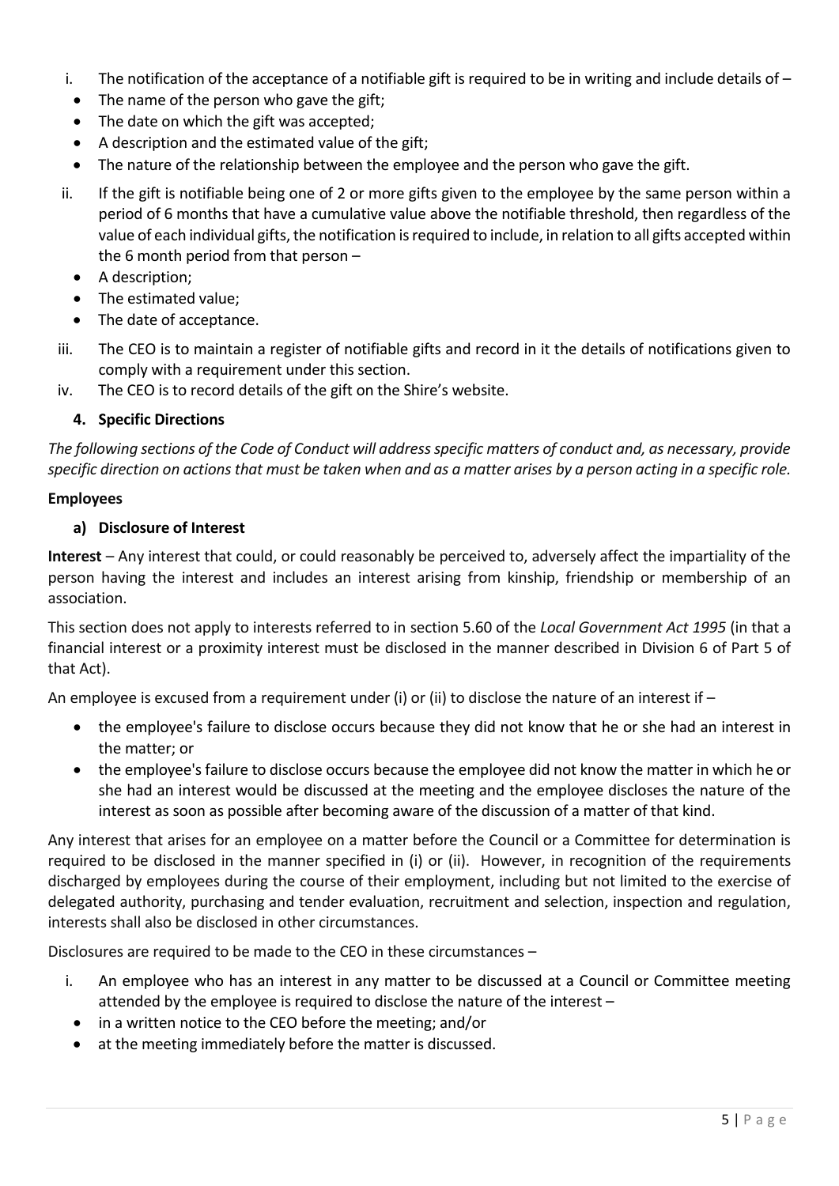- i. The notification of the acceptance of a notifiable gift is required to be in writing and include details of  $-$
- The name of the person who gave the gift;
- The date on which the gift was accepted;
- A description and the estimated value of the gift;
- The nature of the relationship between the employee and the person who gave the gift.
- ii. If the gift is notifiable being one of 2 or more gifts given to the employee by the same person within a period of 6 months that have a cumulative value above the notifiable threshold, then regardless of the value of each individual gifts, the notification is required to include, in relation to all gifts accepted within the 6 month period from that person –
	- A description;
	- The estimated value;
	- The date of acceptance.
- iii. The CEO is to maintain a register of notifiable gifts and record in it the details of notifications given to comply with a requirement under this section.
- iv. The CEO is to record details of the gift on the Shire's website.

#### **4. Specific Directions**

*The following sections of the Code of Conduct will address specific matters of conduct and, as necessary, provide specific direction on actions that must be taken when and as a matter arises by a person acting in a specific role.*

#### **Employees**

#### **a) Disclosure of Interest**

**Interest** – Any interest that could, or could reasonably be perceived to, adversely affect the impartiality of the person having the interest and includes an interest arising from kinship, friendship or membership of an association.

This section does not apply to interests referred to in section 5.60 of the *Local Government Act 1995* (in that a financial interest or a proximity interest must be disclosed in the manner described in Division 6 of Part 5 of that Act).

An employee is excused from a requirement under (i) or (ii) to disclose the nature of an interest if –

- the employee's failure to disclose occurs because they did not know that he or she had an interest in the matter; or
- the employee's failure to disclose occurs because the employee did not know the matter in which he or she had an interest would be discussed at the meeting and the employee discloses the nature of the interest as soon as possible after becoming aware of the discussion of a matter of that kind.

Any interest that arises for an employee on a matter before the Council or a Committee for determination is required to be disclosed in the manner specified in (i) or (ii). However, in recognition of the requirements discharged by employees during the course of their employment, including but not limited to the exercise of delegated authority, purchasing and tender evaluation, recruitment and selection, inspection and regulation, interests shall also be disclosed in other circumstances.

Disclosures are required to be made to the CEO in these circumstances –

- i. An employee who has an interest in any matter to be discussed at a Council or Committee meeting attended by the employee is required to disclose the nature of the interest –
	- in a written notice to the CEO before the meeting; and/or
	- at the meeting immediately before the matter is discussed.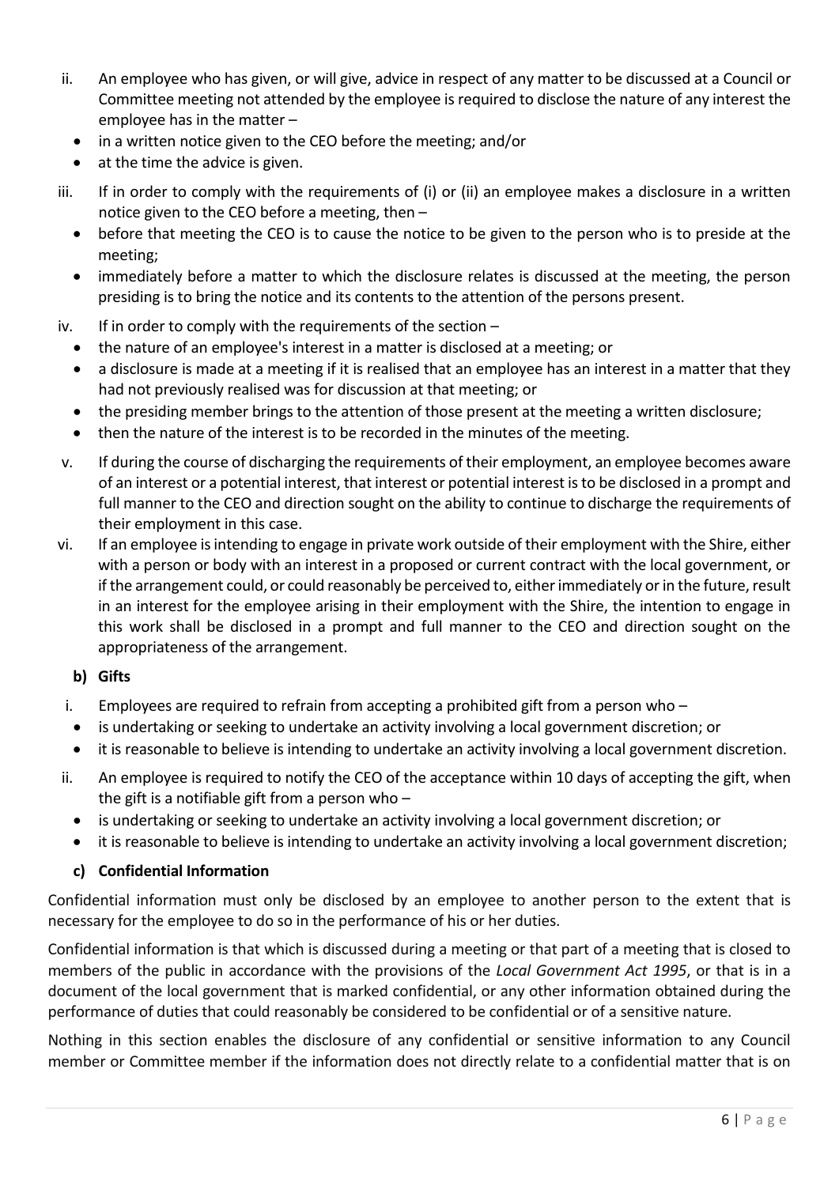- ii. An employee who has given, or will give, advice in respect of any matter to be discussed at a Council or Committee meeting not attended by the employee is required to disclose the nature of any interest the employee has in the matter –
	- in a written notice given to the CEO before the meeting; and/or
	- $\bullet$  at the time the advice is given.
- iii. If in order to comply with the requirements of (i) or (ii) an employee makes a disclosure in a written notice given to the CEO before a meeting, then –
	- before that meeting the CEO is to cause the notice to be given to the person who is to preside at the meeting;
	- immediately before a matter to which the disclosure relates is discussed at the meeting, the person presiding is to bring the notice and its contents to the attention of the persons present.
- iv. If in order to comply with the requirements of the section
	- the nature of an employee's interest in a matter is disclosed at a meeting; or
	- a disclosure is made at a meeting if it is realised that an employee has an interest in a matter that they had not previously realised was for discussion at that meeting; or
	- the presiding member brings to the attention of those present at the meeting a written disclosure;
	- then the nature of the interest is to be recorded in the minutes of the meeting.
- v. If during the course of discharging the requirements of their employment, an employee becomes aware of an interest or a potential interest, that interest or potential interest is to be disclosed in a prompt and full manner to the CEO and direction sought on the ability to continue to discharge the requirements of their employment in this case.
- vi. If an employee is intending to engage in private work outside of their employment with the Shire, either with a person or body with an interest in a proposed or current contract with the local government, or if the arrangement could, or could reasonably be perceived to, either immediately or in the future, result in an interest for the employee arising in their employment with the Shire, the intention to engage in this work shall be disclosed in a prompt and full manner to the CEO and direction sought on the appropriateness of the arrangement.

#### **b) Gifts**

- i. Employees are required to refrain from accepting a prohibited gift from a person who  $-$
- is undertaking or seeking to undertake an activity involving a local government discretion; or
- it is reasonable to believe is intending to undertake an activity involving a local government discretion.
- ii. An employee is required to notify the CEO of the acceptance within 10 days of accepting the gift, when the gift is a notifiable gift from a person who  $$ 
	- is undertaking or seeking to undertake an activity involving a local government discretion; or
	- it is reasonable to believe is intending to undertake an activity involving a local government discretion;

#### **c) Confidential Information**

Confidential information must only be disclosed by an employee to another person to the extent that is necessary for the employee to do so in the performance of his or her duties.

Confidential information is that which is discussed during a meeting or that part of a meeting that is closed to members of the public in accordance with the provisions of the *Local Government Act 1995*, or that is in a document of the local government that is marked confidential, or any other information obtained during the performance of duties that could reasonably be considered to be confidential or of a sensitive nature.

Nothing in this section enables the disclosure of any confidential or sensitive information to any Council member or Committee member if the information does not directly relate to a confidential matter that is on